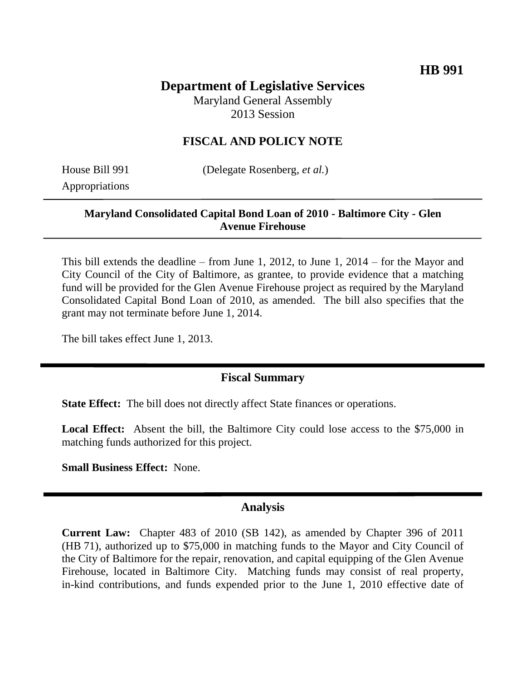# **Department of Legislative Services**

Maryland General Assembly 2013 Session

### **FISCAL AND POLICY NOTE**

Appropriations

House Bill 991 (Delegate Rosenberg, *et al.*)

#### **Maryland Consolidated Capital Bond Loan of 2010 - Baltimore City - Glen Avenue Firehouse**

This bill extends the deadline – from June 1, 2012, to June 1, 2014 – for the Mayor and City Council of the City of Baltimore, as grantee, to provide evidence that a matching fund will be provided for the Glen Avenue Firehouse project as required by the Maryland Consolidated Capital Bond Loan of 2010, as amended. The bill also specifies that the grant may not terminate before June 1, 2014.

The bill takes effect June 1, 2013.

### **Fiscal Summary**

**State Effect:** The bill does not directly affect State finances or operations.

**Local Effect:** Absent the bill, the Baltimore City could lose access to the \$75,000 in matching funds authorized for this project.

**Small Business Effect:** None.

#### **Analysis**

**Current Law:** Chapter 483 of 2010 (SB 142), as amended by Chapter 396 of 2011 (HB 71), authorized up to \$75,000 in matching funds to the Mayor and City Council of the City of Baltimore for the repair, renovation, and capital equipping of the Glen Avenue Firehouse, located in Baltimore City. Matching funds may consist of real property, in-kind contributions, and funds expended prior to the June 1, 2010 effective date of